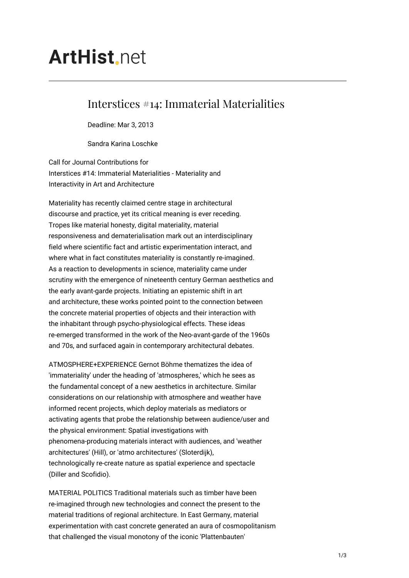# **ArtHist.net**

# Interstices #14: Immaterial Materialities

Deadline: Mar 3, 2013

Sandra Karina Loschke

Call for Journal Contributions for Interstices #14: Immaterial Materialities - Materiality and Interactivity in Art and Architecture

Materiality has recently claimed centre stage in architectural discourse and practice, yet its critical meaning is ever receding. Tropes like material honesty, digital materiality, material responsiveness and dematerialisation mark out an interdisciplinary field where scientific fact and artistic experimentation interact, and where what in fact constitutes materiality is constantly re-imagined. As a reaction to developments in science, materiality came under scrutiny with the emergence of nineteenth century German aesthetics and the early avant-garde projects. Initiating an epistemic shift in art and architecture, these works pointed point to the connection between the concrete material properties of objects and their interaction with the inhabitant through psycho-physiological effects. These ideas re-emerged transformed in the work of the Neo-avant-garde of the 1960s and 70s, and surfaced again in contemporary architectural debates.

ATMOSPHERE+EXPERIENCE Gernot Böhme thematizes the idea of 'immateriality' under the heading of 'atmospheres,' which he sees as the fundamental concept of a new aesthetics in architecture. Similar considerations on our relationship with atmosphere and weather have informed recent projects, which deploy materials as mediators or activating agents that probe the relationship between audience/user and the physical environment: Spatial investigations with phenomena-producing materials interact with audiences, and 'weather architectures' (Hill), or 'atmo architectures' (Sloterdijk), technologically re-create nature as spatial experience and spectacle (Diller and Scofidio).

MATERIAL POLITICS Traditional materials such as timber have been re-imagined through new technologies and connect the present to the material traditions of regional architecture. In East Germany, material experimentation with cast concrete generated an aura of cosmopolitanism that challenged the visual monotony of the iconic 'Plattenbauten'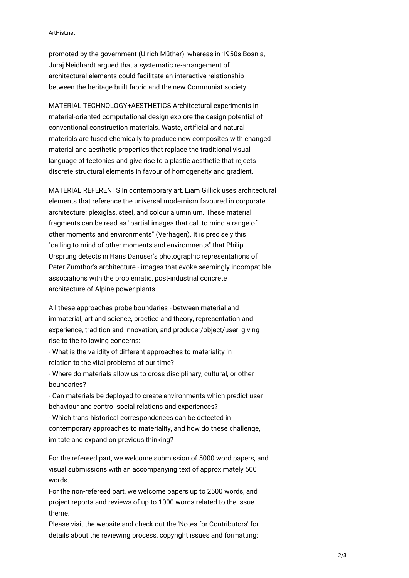#### ArtHist.net

promoted by the government (Ulrich Müther); whereas in 1950s Bosnia, Juraj Neidhardt argued that a systematic re-arrangement of architectural elements could facilitate an interactive relationship between the heritage built fabric and the new Communist society.

MATERIAL TECHNOLOGY+AESTHETICS Architectural experiments in material-oriented computational design explore the design potential of conventional construction materials. Waste, artificial and natural materials are fused chemically to produce new composites with changed material and aesthetic properties that replace the traditional visual language of tectonics and give rise to a plastic aesthetic that rejects discrete structural elements in favour of homogeneity and gradient.

MATERIAL REFERENTS In contemporary art, Liam Gillick uses architectural elements that reference the universal modernism favoured in corporate architecture: plexiglas, steel, and colour aluminium. These material fragments can be read as "partial images that call to mind a range of other moments and environments" (Verhagen). It is precisely this "calling to mind of other moments and environments" that Philip Ursprung detects in Hans Danuser's photographic representations of Peter Zumthor's architecture - images that evoke seemingly incompatible associations with the problematic, post-industrial concrete architecture of Alpine power plants.

All these approaches probe boundaries - between material and immaterial, art and science, practice and theory, representation and experience, tradition and innovation, and producer/object/user, giving rise to the following concerns:

- What is the validity of different approaches to materiality in relation to the vital problems of our time?

- Where do materials allow us to cross disciplinary, cultural, or other boundaries?

- Can materials be deployed to create environments which predict user behaviour and control social relations and experiences?

- Which trans-historical correspondences can be detected in contemporary approaches to materiality, and how do these challenge, imitate and expand on previous thinking?

For the refereed part, we welcome submission of 5000 word papers, and visual submissions with an accompanying text of approximately 500 words.

For the non-refereed part, we welcome papers up to 2500 words, and project reports and reviews of up to 1000 words related to the issue theme.

Please visit the website and check out the 'Notes for Contributors' for details about the reviewing process, copyright issues and formatting: